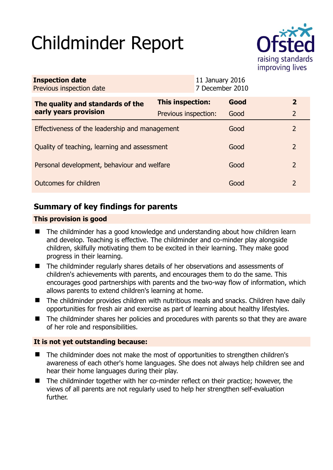# Childminder Report



| <b>Inspection date</b><br>Previous inspection date        |                      | 11 January 2016<br>7 December 2010 |      |                |
|-----------------------------------------------------------|----------------------|------------------------------------|------|----------------|
| The quality and standards of the<br>early years provision | This inspection:     |                                    | Good | $\mathbf{2}$   |
|                                                           | Previous inspection: |                                    | Good | $\overline{2}$ |
| Effectiveness of the leadership and management            |                      |                                    | Good | $\mathcal{P}$  |
| Quality of teaching, learning and assessment              |                      |                                    | Good | 2              |
| Personal development, behaviour and welfare               |                      |                                    | Good | 2              |
| Outcomes for children                                     |                      |                                    | Good | $\mathcal{P}$  |

# **Summary of key findings for parents**

## **This provision is good**

- The childminder has a good knowledge and understanding about how children learn and develop. Teaching is effective. The childminder and co-minder play alongside children, skilfully motivating them to be excited in their learning. They make good progress in their learning.
- The childminder regularly shares details of her observations and assessments of children's achievements with parents, and encourages them to do the same. This encourages good partnerships with parents and the two-way flow of information, which allows parents to extend children's learning at home.
- The childminder provides children with nutritious meals and snacks. Children have daily opportunities for fresh air and exercise as part of learning about healthy lifestyles.
- The childminder shares her policies and procedures with parents so that they are aware of her role and responsibilities.

## **It is not yet outstanding because:**

- The childminder does not make the most of opportunities to strengthen children's awareness of each other's home languages. She does not always help children see and hear their home languages during their play.
- The childminder together with her co-minder reflect on their practice; however, the views of all parents are not regularly used to help her strengthen self-evaluation further.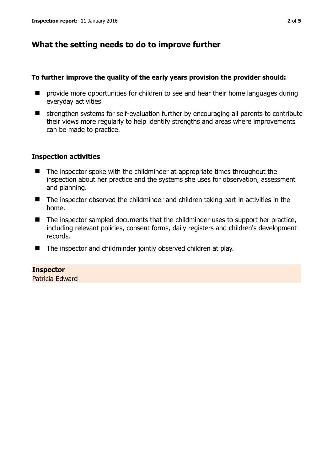# **What the setting needs to do to improve further**

#### **To further improve the quality of the early years provision the provider should:**

- $\blacksquare$  provide more opportunities for children to see and hear their home languages during everyday activities
- $\blacksquare$  strengthen systems for self-evaluation further by encouraging all parents to contribute their views more regularly to help identify strengths and areas where improvements can be made to practice.

#### **Inspection activities**

- The inspector spoke with the childminder at appropriate times throughout the inspection about her practice and the systems she uses for observation, assessment and planning.
- The inspector observed the childminder and children taking part in activities in the home.
- $\blacksquare$  The inspector sampled documents that the childminder uses to support her practice, including relevant policies, consent forms, daily registers and children's development records.
- The inspector and childminder jointly observed children at play.

## **Inspector**

Patricia Edward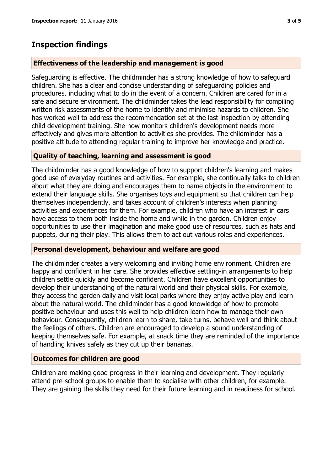## **Inspection findings**

#### **Effectiveness of the leadership and management is good**

Safeguarding is effective. The childminder has a strong knowledge of how to safeguard children. She has a clear and concise understanding of safeguarding policies and procedures, including what to do in the event of a concern. Children are cared for in a safe and secure environment. The childminder takes the lead responsibility for compiling written risk assessments of the home to identify and minimise hazards to children. She has worked well to address the recommendation set at the last inspection by attending child development training. She now monitors children's development needs more effectively and gives more attention to activities she provides. The childminder has a positive attitude to attending regular training to improve her knowledge and practice.

#### **Quality of teaching, learning and assessment is good**

The childminder has a good knowledge of how to support children's learning and makes good use of everyday routines and activities. For example, she continually talks to children about what they are doing and encourages them to name objects in the environment to extend their language skills. She organises toys and equipment so that children can help themselves independently, and takes account of children's interests when planning activities and experiences for them. For example, children who have an interest in cars have access to them both inside the home and while in the garden. Children enjoy opportunities to use their imagination and make good use of resources, such as hats and puppets, during their play. This allows them to act out various roles and experiences.

#### **Personal development, behaviour and welfare are good**

The childminder creates a very welcoming and inviting home environment. Children are happy and confident in her care. She provides effective settling-in arrangements to help children settle quickly and become confident. Children have excellent opportunities to develop their understanding of the natural world and their physical skills. For example, they access the garden daily and visit local parks where they enjoy active play and learn about the natural world. The childminder has a good knowledge of how to promote positive behaviour and uses this well to help children learn how to manage their own behaviour. Consequently, children learn to share, take turns, behave well and think about the feelings of others. Children are encouraged to develop a sound understanding of keeping themselves safe. For example, at snack time they are reminded of the importance of handling knives safely as they cut up their bananas.

#### **Outcomes for children are good**

Children are making good progress in their learning and development. They regularly attend pre-school groups to enable them to socialise with other children, for example. They are gaining the skills they need for their future learning and in readiness for school.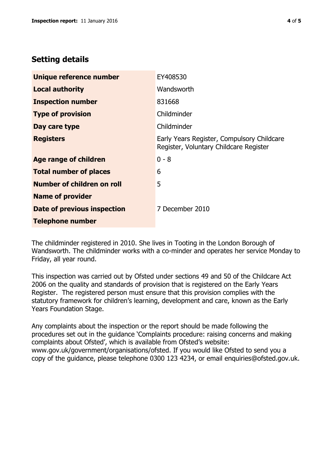# **Setting details**

| Unique reference number           | EY408530                                                                             |  |
|-----------------------------------|--------------------------------------------------------------------------------------|--|
| <b>Local authority</b>            | Wandsworth                                                                           |  |
| <b>Inspection number</b>          | 831668                                                                               |  |
| <b>Type of provision</b>          | Childminder                                                                          |  |
| Day care type                     | Childminder                                                                          |  |
| <b>Registers</b>                  | Early Years Register, Compulsory Childcare<br>Register, Voluntary Childcare Register |  |
| Age range of children             | $0 - 8$                                                                              |  |
| <b>Total number of places</b>     | 6                                                                                    |  |
| <b>Number of children on roll</b> | 5                                                                                    |  |
| <b>Name of provider</b>           |                                                                                      |  |
| Date of previous inspection       | 7 December 2010                                                                      |  |
| <b>Telephone number</b>           |                                                                                      |  |

The childminder registered in 2010. She lives in Tooting in the London Borough of Wandsworth. The childminder works with a co-minder and operates her service Monday to Friday, all year round.

This inspection was carried out by Ofsted under sections 49 and 50 of the Childcare Act 2006 on the quality and standards of provision that is registered on the Early Years Register. The registered person must ensure that this provision complies with the statutory framework for children's learning, development and care, known as the Early Years Foundation Stage.

Any complaints about the inspection or the report should be made following the procedures set out in the guidance 'Complaints procedure: raising concerns and making complaints about Ofsted', which is available from Ofsted's website: www.gov.uk/government/organisations/ofsted. If you would like Ofsted to send you a copy of the guidance, please telephone 0300 123 4234, or email enquiries@ofsted.gov.uk.